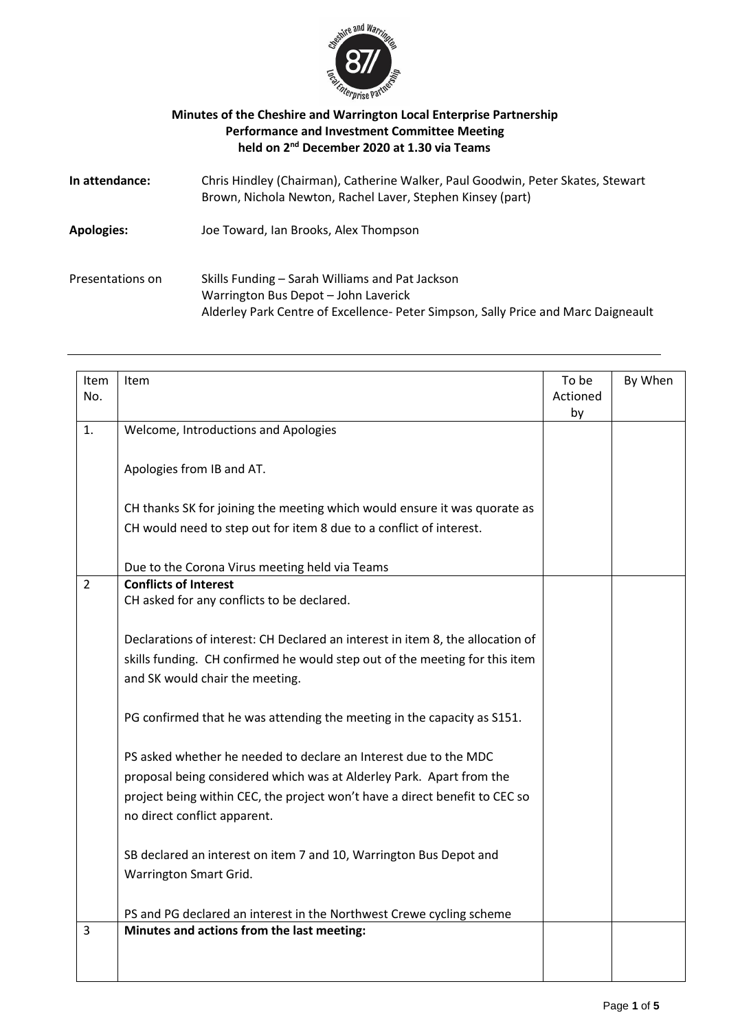

## **Minutes of the Cheshire and Warrington Local Enterprise Partnership Performance and Investment Committee Meeting held on 2 nd December 2020 at 1.30 via Teams**

| In attendance:    | Chris Hindley (Chairman), Catherine Walker, Paul Goodwin, Peter Skates, Stewart<br>Brown, Nichola Newton, Rachel Laver, Stephen Kinsey (part)                                 |
|-------------------|-------------------------------------------------------------------------------------------------------------------------------------------------------------------------------|
| <b>Apologies:</b> | Joe Toward, Ian Brooks, Alex Thompson                                                                                                                                         |
| Presentations on  | Skills Funding - Sarah Williams and Pat Jackson<br>Warrington Bus Depot - John Laverick<br>Alderley Park Centre of Excellence- Peter Simpson, Sally Price and Marc Daigneault |

| Item<br>No.    | Item                                                                           | To be<br>Actioned<br>by | By When |
|----------------|--------------------------------------------------------------------------------|-------------------------|---------|
| 1.             | Welcome, Introductions and Apologies                                           |                         |         |
|                | Apologies from IB and AT.                                                      |                         |         |
|                | CH thanks SK for joining the meeting which would ensure it was quorate as      |                         |         |
|                | CH would need to step out for item 8 due to a conflict of interest.            |                         |         |
|                | Due to the Corona Virus meeting held via Teams                                 |                         |         |
| $\overline{2}$ | <b>Conflicts of Interest</b>                                                   |                         |         |
|                | CH asked for any conflicts to be declared.                                     |                         |         |
|                | Declarations of interest: CH Declared an interest in item 8, the allocation of |                         |         |
|                | skills funding. CH confirmed he would step out of the meeting for this item    |                         |         |
|                | and SK would chair the meeting.                                                |                         |         |
|                | PG confirmed that he was attending the meeting in the capacity as S151.        |                         |         |
|                | PS asked whether he needed to declare an Interest due to the MDC               |                         |         |
|                | proposal being considered which was at Alderley Park. Apart from the           |                         |         |
|                | project being within CEC, the project won't have a direct benefit to CEC so    |                         |         |
|                | no direct conflict apparent.                                                   |                         |         |
|                | SB declared an interest on item 7 and 10, Warrington Bus Depot and             |                         |         |
|                | Warrington Smart Grid.                                                         |                         |         |
|                | PS and PG declared an interest in the Northwest Crewe cycling scheme           |                         |         |
| 3              | Minutes and actions from the last meeting:                                     |                         |         |
|                |                                                                                |                         |         |
|                |                                                                                |                         |         |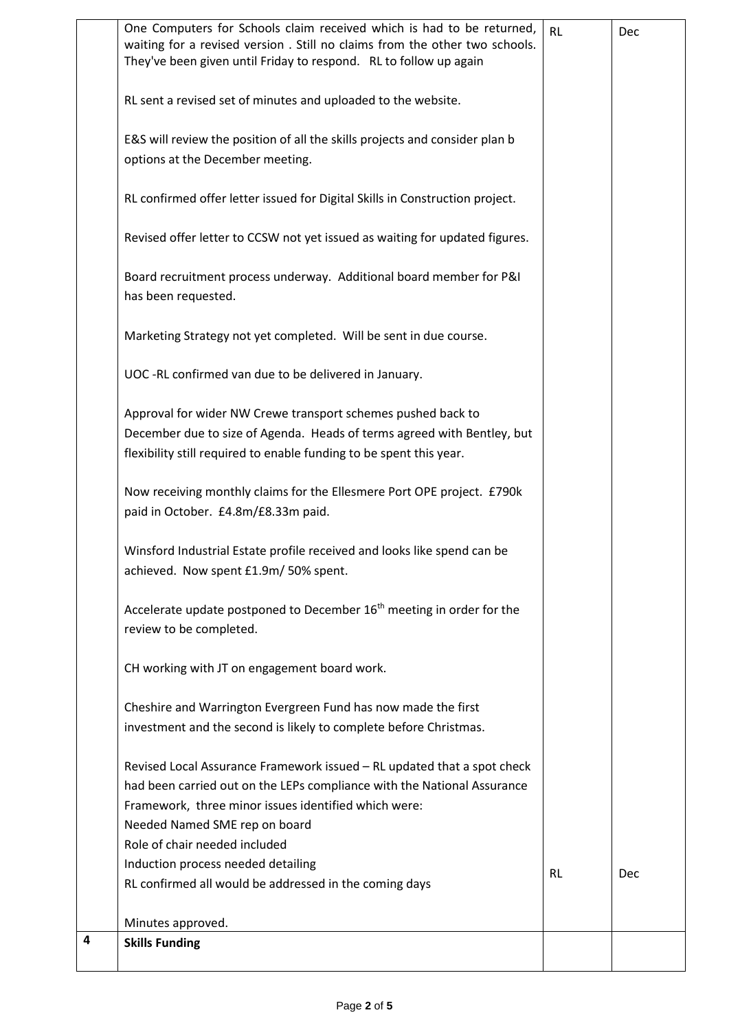|   | <b>Skills Funding</b>                                                                                                                               |           |     |
|---|-----------------------------------------------------------------------------------------------------------------------------------------------------|-----------|-----|
| 4 | Minutes approved.                                                                                                                                   |           |     |
|   |                                                                                                                                                     |           |     |
|   | RL confirmed all would be addressed in the coming days                                                                                              | <b>RL</b> | Dec |
|   | Induction process needed detailing                                                                                                                  |           |     |
|   | Role of chair needed included                                                                                                                       |           |     |
|   | Needed Named SME rep on board                                                                                                                       |           |     |
|   | Framework, three minor issues identified which were:                                                                                                |           |     |
|   | had been carried out on the LEPs compliance with the National Assurance                                                                             |           |     |
|   | Revised Local Assurance Framework issued - RL updated that a spot check                                                                             |           |     |
|   | investment and the second is likely to complete before Christmas.                                                                                   |           |     |
|   | Cheshire and Warrington Evergreen Fund has now made the first                                                                                       |           |     |
|   | CH working with JT on engagement board work.                                                                                                        |           |     |
|   |                                                                                                                                                     |           |     |
|   | Accelerate update postponed to December 16 <sup>th</sup> meeting in order for the<br>review to be completed.                                        |           |     |
|   |                                                                                                                                                     |           |     |
|   | Winsford Industrial Estate profile received and looks like spend can be<br>achieved. Now spent £1.9m/ 50% spent.                                    |           |     |
|   |                                                                                                                                                     |           |     |
|   | paid in October. £4.8m/£8.33m paid.                                                                                                                 |           |     |
|   | Now receiving monthly claims for the Ellesmere Port OPE project. £790k                                                                              |           |     |
|   | flexibility still required to enable funding to be spent this year.                                                                                 |           |     |
|   | Approval for wider NW Crewe transport schemes pushed back to<br>December due to size of Agenda. Heads of terms agreed with Bentley, but             |           |     |
|   |                                                                                                                                                     |           |     |
|   | UOC -RL confirmed van due to be delivered in January.                                                                                               |           |     |
|   | Marketing Strategy not yet completed. Will be sent in due course.                                                                                   |           |     |
|   | has been requested.                                                                                                                                 |           |     |
|   | Board recruitment process underway. Additional board member for P&I                                                                                 |           |     |
|   | Revised offer letter to CCSW not yet issued as waiting for updated figures.                                                                         |           |     |
|   | RL confirmed offer letter issued for Digital Skills in Construction project.                                                                        |           |     |
|   |                                                                                                                                                     |           |     |
|   | E&S will review the position of all the skills projects and consider plan b<br>options at the December meeting.                                     |           |     |
|   |                                                                                                                                                     |           |     |
|   | RL sent a revised set of minutes and uploaded to the website.                                                                                       |           |     |
|   | They've been given until Friday to respond. RL to follow up again                                                                                   |           |     |
|   | One Computers for Schools claim received which is had to be returned,<br>waiting for a revised version. Still no claims from the other two schools. | <b>RL</b> | Dec |
|   |                                                                                                                                                     |           |     |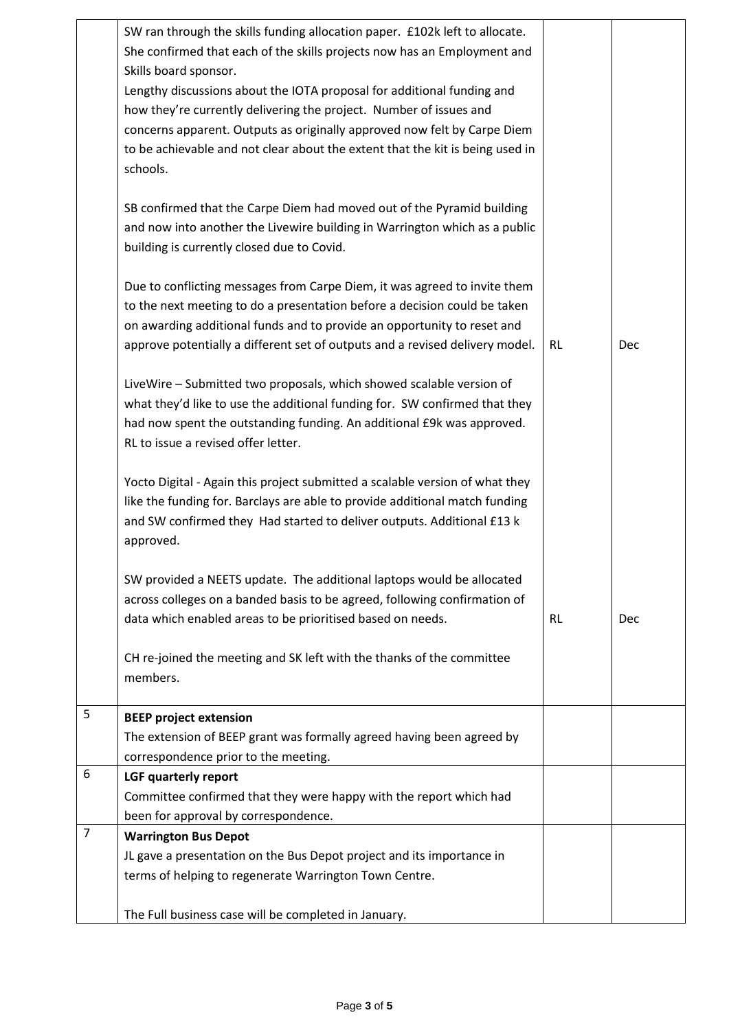|   | SW ran through the skills funding allocation paper. £102k left to allocate.<br>She confirmed that each of the skills projects now has an Employment and |           |     |
|---|---------------------------------------------------------------------------------------------------------------------------------------------------------|-----------|-----|
|   | Skills board sponsor.                                                                                                                                   |           |     |
|   | Lengthy discussions about the IOTA proposal for additional funding and                                                                                  |           |     |
|   | how they're currently delivering the project. Number of issues and                                                                                      |           |     |
|   | concerns apparent. Outputs as originally approved now felt by Carpe Diem                                                                                |           |     |
|   | to be achievable and not clear about the extent that the kit is being used in                                                                           |           |     |
|   | schools.                                                                                                                                                |           |     |
|   |                                                                                                                                                         |           |     |
|   | SB confirmed that the Carpe Diem had moved out of the Pyramid building                                                                                  |           |     |
|   | and now into another the Livewire building in Warrington which as a public                                                                              |           |     |
|   | building is currently closed due to Covid.                                                                                                              |           |     |
|   |                                                                                                                                                         |           |     |
|   | Due to conflicting messages from Carpe Diem, it was agreed to invite them                                                                               |           |     |
|   | to the next meeting to do a presentation before a decision could be taken                                                                               |           |     |
|   | on awarding additional funds and to provide an opportunity to reset and                                                                                 |           |     |
|   | approve potentially a different set of outputs and a revised delivery model.                                                                            | <b>RL</b> | Dec |
|   |                                                                                                                                                         |           |     |
|   | LiveWire - Submitted two proposals, which showed scalable version of<br>what they'd like to use the additional funding for. SW confirmed that they      |           |     |
|   | had now spent the outstanding funding. An additional £9k was approved.                                                                                  |           |     |
|   | RL to issue a revised offer letter.                                                                                                                     |           |     |
|   |                                                                                                                                                         |           |     |
|   | Yocto Digital - Again this project submitted a scalable version of what they                                                                            |           |     |
|   | like the funding for. Barclays are able to provide additional match funding                                                                             |           |     |
|   | and SW confirmed they Had started to deliver outputs. Additional £13 k                                                                                  |           |     |
|   | approved.                                                                                                                                               |           |     |
|   |                                                                                                                                                         |           |     |
|   | SW provided a NEETS update. The additional laptops would be allocated                                                                                   |           |     |
|   | across colleges on a banded basis to be agreed, following confirmation of                                                                               |           |     |
|   | data which enabled areas to be prioritised based on needs.                                                                                              | <b>RL</b> | Dec |
|   | CH re-joined the meeting and SK left with the thanks of the committee                                                                                   |           |     |
|   | members.                                                                                                                                                |           |     |
|   |                                                                                                                                                         |           |     |
| 5 | <b>BEEP project extension</b>                                                                                                                           |           |     |
|   | The extension of BEEP grant was formally agreed having been agreed by                                                                                   |           |     |
|   | correspondence prior to the meeting.                                                                                                                    |           |     |
| 6 | LGF quarterly report                                                                                                                                    |           |     |
|   | Committee confirmed that they were happy with the report which had                                                                                      |           |     |
|   | been for approval by correspondence.                                                                                                                    |           |     |
| 7 | <b>Warrington Bus Depot</b>                                                                                                                             |           |     |
|   | JL gave a presentation on the Bus Depot project and its importance in                                                                                   |           |     |
|   | terms of helping to regenerate Warrington Town Centre.                                                                                                  |           |     |
|   | The Full business case will be completed in January.                                                                                                    |           |     |
|   |                                                                                                                                                         |           |     |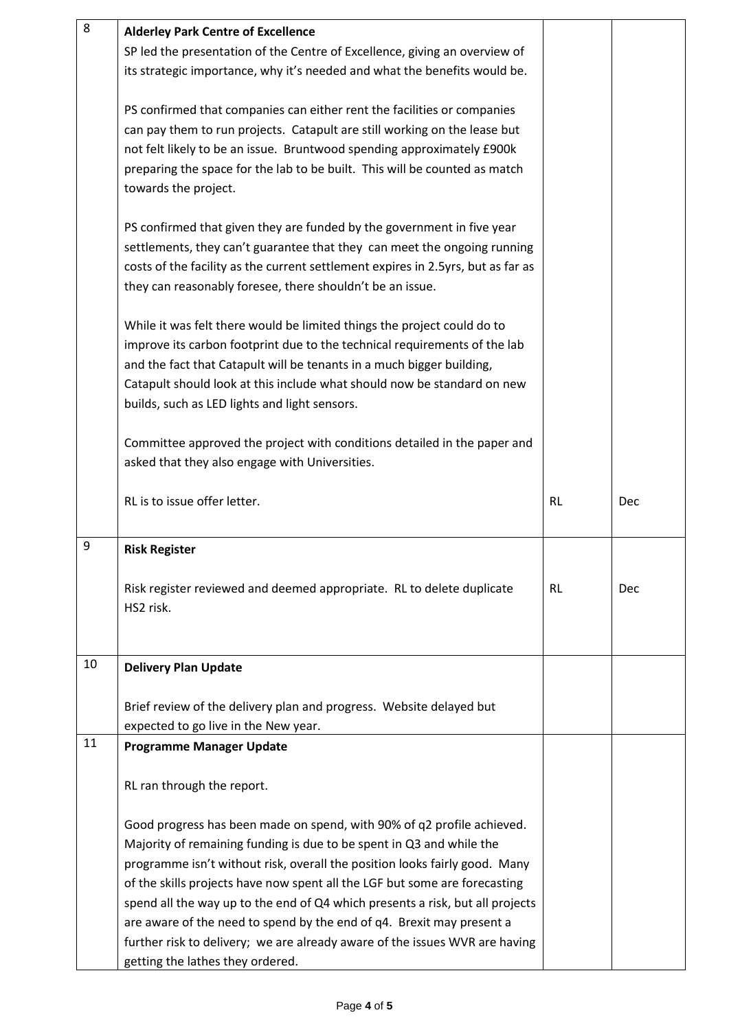| 8  | <b>Alderley Park Centre of Excellence</b>                                        |           |     |
|----|----------------------------------------------------------------------------------|-----------|-----|
|    | SP led the presentation of the Centre of Excellence, giving an overview of       |           |     |
|    | its strategic importance, why it's needed and what the benefits would be.        |           |     |
|    |                                                                                  |           |     |
|    | PS confirmed that companies can either rent the facilities or companies          |           |     |
|    | can pay them to run projects. Catapult are still working on the lease but        |           |     |
|    | not felt likely to be an issue. Bruntwood spending approximately £900k           |           |     |
|    | preparing the space for the lab to be built. This will be counted as match       |           |     |
|    |                                                                                  |           |     |
|    | towards the project.                                                             |           |     |
|    | PS confirmed that given they are funded by the government in five year           |           |     |
|    | settlements, they can't guarantee that they can meet the ongoing running         |           |     |
|    |                                                                                  |           |     |
|    | costs of the facility as the current settlement expires in 2.5yrs, but as far as |           |     |
|    | they can reasonably foresee, there shouldn't be an issue.                        |           |     |
|    | While it was felt there would be limited things the project could do to          |           |     |
|    | improve its carbon footprint due to the technical requirements of the lab        |           |     |
|    |                                                                                  |           |     |
|    | and the fact that Catapult will be tenants in a much bigger building,            |           |     |
|    | Catapult should look at this include what should now be standard on new          |           |     |
|    | builds, such as LED lights and light sensors.                                    |           |     |
|    | Committee approved the project with conditions detailed in the paper and         |           |     |
|    | asked that they also engage with Universities.                                   |           |     |
|    |                                                                                  |           |     |
|    | RL is to issue offer letter.                                                     | <b>RL</b> | Dec |
|    |                                                                                  |           |     |
| 9  | <b>Risk Register</b>                                                             |           |     |
|    |                                                                                  |           |     |
|    | Risk register reviewed and deemed appropriate. RL to delete duplicate            | <b>RL</b> | Dec |
|    | HS2 risk.                                                                        |           |     |
|    |                                                                                  |           |     |
|    |                                                                                  |           |     |
| 10 | <b>Delivery Plan Update</b>                                                      |           |     |
|    |                                                                                  |           |     |
|    | Brief review of the delivery plan and progress. Website delayed but              |           |     |
|    | expected to go live in the New year.                                             |           |     |
| 11 | <b>Programme Manager Update</b>                                                  |           |     |
|    |                                                                                  |           |     |
|    | RL ran through the report.                                                       |           |     |
|    | Good progress has been made on spend, with 90% of q2 profile achieved.           |           |     |
|    | Majority of remaining funding is due to be spent in Q3 and while the             |           |     |
|    |                                                                                  |           |     |
|    | programme isn't without risk, overall the position looks fairly good. Many       |           |     |
|    | of the skills projects have now spent all the LGF but some are forecasting       |           |     |
|    | spend all the way up to the end of Q4 which presents a risk, but all projects    |           |     |
|    | are aware of the need to spend by the end of q4. Brexit may present a            |           |     |
|    | further risk to delivery; we are already aware of the issues WVR are having      |           |     |
|    | getting the lathes they ordered.                                                 |           |     |